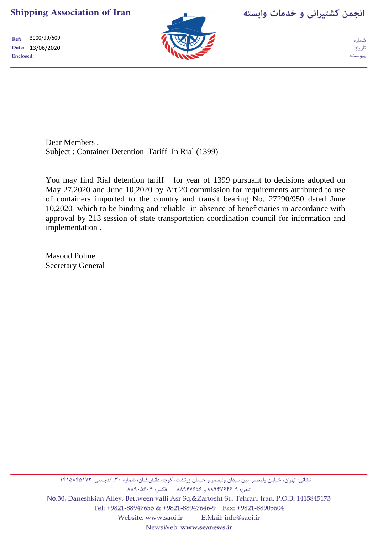3000/99/609  $Ref:$ Date: 13/06/2020 Enclosed:



انجمن كشتيراني و خدمات وابسته

تاريخ: ييوست:

Dear Members , Subject : Container Detention Tariff In Rial (1399)

You may find Rial detention tariff for year of 1399 pursuant to decisions adopted on May 27,2020 and June 10,2020 by Art.20 commission for requirements attributed to use of containers imported to the country and transit bearing No. 27290/950 dated June 10,2020 which to be binding and reliable in absence of beneficiaries in accordance with approval by 213 session of state transportation coordination council for information and implementation .

Masoud Polme Secretary General

نشانی: تهران، خیابان ولیعصر، بین میدان ولیعصر و خیابان زرتشت، کوچه دانش کیان، شماره ۳۰. کدپستی: ۱۴۱۵۸۴۵۱۷۳ تلفن: ٨-٨٩٤٧۶۴۶ و ٨٨٩٤٧۶٥۶ فكس: ٨٨٩٠٥۶٠۴ No.30, Daneshkian Alley, Bettween valli Asr Sq.&Zartosht St., Tehran, Iran. P.O.B: 1415845173 Tel: +9821-88947656 & +9821-88947646-9 Fax: +9821-88905604 E.Mail: info@saoi.ir Website: www.saoi.ir NewsWeb: www.seanews.ir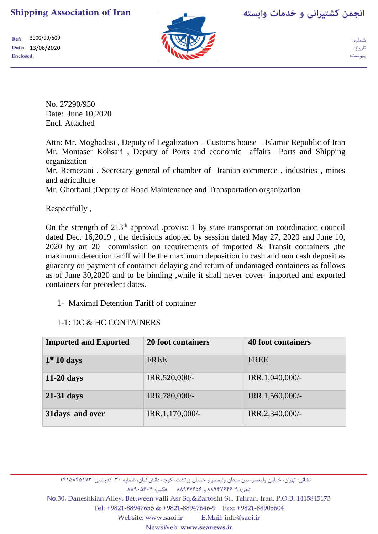

انجمن کشتیرانی و خدمات وابسته

3000/99/609 Ref: Date: 13/06/2020 Enclosed:

No. 27290/950 Date: June 10,2020 Encl. Attached

Attn: Mr. Moghadasi , Deputy of Legalization – Customs house – Islamic Republic of Iran Mr. Montaser Kohsari , Deputy of Ports and economic affairs –Ports and Shipping organization

Mr. Remezani , Secretary general of chamber of Iranian commerce , industries , mines and agriculture

Mr. Ghorbani ;Deputy of Road Maintenance and Transportation organization

Respectfully ,

On the strength of 213<sup>th</sup> approval ,proviso 1 by state transportation coordination council dated Dec. 16,2019 , the decisions adopted by session dated May 27, 2020 and June 10, 2020 by art 20 commission on requirements of imported & Transit containers ,the maximum detention tariff will be the maximum deposition in cash and non cash deposit as guaranty on payment of container delaying and return of undamaged containers as follows as of June 30,2020 and to be binding ,while it shall never cover imported and exported containers for precedent dates.

### 1- Maximal Detention Tariff of container

### 1-1: DC & HC CONTAINERS

| <b>Imported and Exported</b> | 20 foot containers | <b>40 foot containers</b> |
|------------------------------|--------------------|---------------------------|
| 1 <sup>st</sup> 10 days      | <b>FREE</b>        | <b>FREE</b>               |
| $11-20$ days                 | IRR.520,000/-      | IRR.1,040,000/-           |
| $21-31$ days                 | IRR.780,000/-      | IRR.1,560,000/-           |
| 31 days and over             | IRR.1,170,000/-    | IRR.2,340,000/-           |

نشانی: تهران، خیابان ولیعصر، بین میدان ولیعصر و خیابان زرتشت، کوچه دانش5یان، شماره ۳۰. کدپستی: ۱۴۱۵۸۴۵۱۷۳

تلفن: ٨-٨٩٤٧۶۴۶ و ٨٨٩٤٧۶٥۶ فكس: ٨٠٩٠١٨٩

No.30, Daneshkian Alley, Bettween valli Asr Sq.&Zartosht St., Tehran, Iran. P.O.B: 1415845173

Tel: +9821-88947656 & +9821-88947646-9 Fax: +9821-88905604

Website: www.saoi.ir E.Mail: info@saoi.ir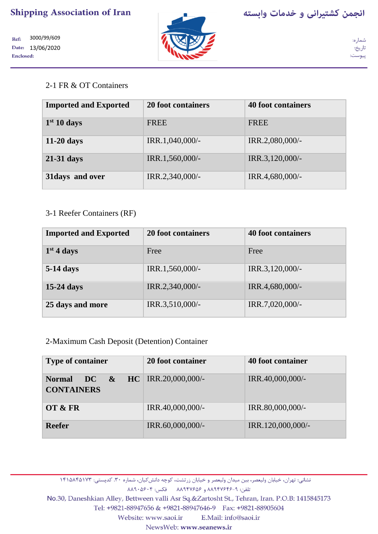

3000/99/609 Ref: Date: 13/06/2020 **Enclosed:** 



شما, ه: تاريخ: پيوست:

## 2-1 FR & OT Containers

| <b>Imported and Exported</b> | 20 foot containers | <b>40 foot containers</b> |
|------------------------------|--------------------|---------------------------|
| 1 <sup>st</sup> 10 days      | <b>FREE</b>        | <b>FREE</b>               |
| $11-20$ days                 | IRR.1,040,000/-    | IRR.2,080,000/-           |
| $21-31$ days                 | IRR.1,560,000/-    | IRR.3,120,000/-           |
| 31 days and over             | IRR.2,340,000/-    | IRR.4,680,000/-           |

### 3-1 Reefer Containers (RF)

| <b>Imported and Exported</b> | 20 foot containers | <b>40 foot containers</b> |
|------------------------------|--------------------|---------------------------|
| $1st$ 4 days                 | Free               | Free                      |
| <b>5-14 days</b>             | IRR.1,560,000/-    | IRR.3,120,000/-           |
| $15-24$ days                 | IRR.2,340,000/-    | IRR.4,680,000/-           |
| 25 days and more             | IRR.3,510,000/-    | IRR.7,020,000/-           |

2-Maximum Cash Deposit (Detention) Container

| <b>Type of container</b>                       | 20 foot container          | 40 foot container |
|------------------------------------------------|----------------------------|-------------------|
| $\bf DC$<br><b>Normal</b><br><b>CONTAINERS</b> | $\&$ HC   IRR.20,000,000/- | IRR.40,000,000/-  |
| OT & FR                                        | IRR.40,000,000/-           | IRR.80,000,000/-  |
| <b>Reefer</b>                                  | IRR.60,000,000/-           | IRR.120,000,000/- |

نشانی: تهران، خیابان ولیعصر، بین میدان ولیعصر و خیابان زرتشت، کوچه دانش کیان، شماره ۳۰. کدپستی: ۱۴۱۵۸۴۵۱۷۳

تلفن: ٨-٨٩٤٧۶۴۶ و ٨٨٩٤٧۶٥۶ فكس: ٨٨٩٠٥۶٠۴

No.30, Daneshkian Alley, Bettween valli Asr Sq.&Zartosht St., Tehran, Iran. P.O.B: 1415845173

Tel: +9821-88947656 & +9821-88947646-9 Fax: +9821-88905604

Website: www.saoi.ir E.Mail: info@saoi.ir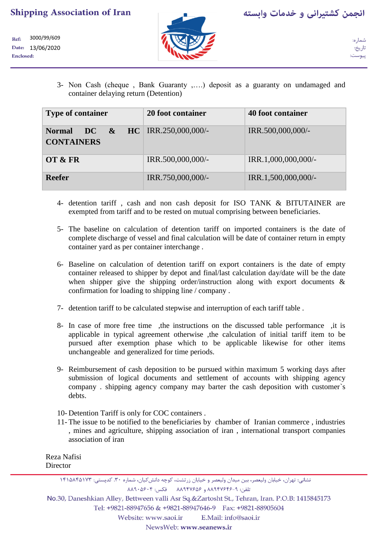3000/99/609 Ref: Date: 13/06/2020 Enclosed:



ىيوست

3- Non Cash (cheque , Bank Guaranty ,….) deposit as a guaranty on undamaged and container delaying return (Detention)

| <b>Type of container</b>                              | 20 foot container        | 40 foot container   |
|-------------------------------------------------------|--------------------------|---------------------|
| $\overline{DC}$<br><b>Normal</b><br><b>CONTAINERS</b> | $\&$ HC RR.250,000,000/- | IRR.500,000,000/-   |
| OT & FR                                               | IRR.500,000,000/-        | IRR.1,000,000,000/- |
| <b>Reefer</b>                                         | IRR.750,000,000/-        | IRR.1,500,000,000/- |

- 4- detention tariff , cash and non cash deposit for ISO TANK & BITUTAINER are exempted from tariff and to be rested on mutual comprising between beneficiaries.
- 5- The baseline on calculation of detention tariff on imported containers is the date of complete discharge of vessel and final calculation will be date of container return in empty container yard as per container interchange .
- 6- Baseline on calculation of detention tariff on export containers is the date of empty container released to shipper by depot and final/last calculation day/date will be the date when shipper give the shipping order/instruction along with export documents & confirmation for loading to shipping line / company .
- 7- detention tariff to be calculated stepwise and interruption of each tariff table .
- 8- In case of more free time ,the instructions on the discussed table performance ,it is applicable in typical agreement otherwise ,the calculation of initial tariff item to be pursued after exemption phase which to be applicable likewise for other items unchangeable and generalized for time periods.
- 9- Reimbursement of cash deposition to be pursued within maximum 5 working days after submission of logical documents and settlement of accounts with shipping agency company . shipping agency company may barter the cash deposition with customer`s debts.
- 10- Detention Tariff is only for COC containers .
- 11- The issue to be notified to the beneficiaries by chamber of Iranian commerce , industries , mines and agriculture, shipping association of iran , international transport companies association of iran

Reza Nafisi **Director** 

No.30, Daneshkian Alley, Bettween valli Asr Sq.&Zartosht St., Tehran, Iran. P.O.B: 1415845173

Tel: +9821-88947656 & +9821-88947646-9 Fax: +9821-88905604

E.Mail: info@saoi.ir Website: www.saoi.ir

نشانی: تهران، خیابان ولیعصر، بین میدان ولیعصر و خیابان زرتشت، کوچه دانش کیان، شماره ۳۰. کدپستی: ۱۴۱۵۸۴۵۱۷۳ تلفن: ٨-٨٩٤٧۶۴۶ و ٨٨٩٤٧۶٥۶ فكس: ٨٨٩٠٥۶٠۴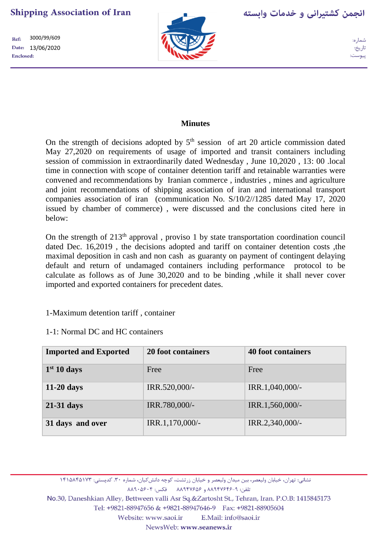3000/99/609 Ref: Date: 13/06/2020 Enclosed:



انجمن کشتیرانی و خدمات وابسته

## **Minutes**

On the strength of decisions adopted by  $5<sup>th</sup>$  session of art 20 article commission dated May 27,2020 on requirements of usage of imported and transit containers including session of commission in extraordinarily dated Wednesday , June 10,2020 , 13: 00 .local time in connection with scope of container detention tariff and retainable warranties were convened and recommendations by Iranian commerce , industries , mines and agriculture and joint recommendations of shipping association of iran and international transport companies association of iran (communication No. S/10/2//1285 dated May 17, 2020 issued by chamber of commerce) , were discussed and the conclusions cited here in below:

On the strength of  $213<sup>th</sup>$  approval, proviso 1 by state transportation coordination council dated Dec. 16,2019 , the decisions adopted and tariff on container detention costs ,the maximal deposition in cash and non cash as guaranty on payment of contingent delaying default and return of undamaged containers including performance protocol to be calculate as follows as of June 30,2020 and to be binding ,while it shall never cover imported and exported containers for precedent dates.

### 1-Maximum detention tariff , container

| 1-1: Normal DC and HC containers |  |
|----------------------------------|--|
|----------------------------------|--|

| <b>Imported and Exported</b> | 20 foot containers | <b>40 foot containers</b> |
|------------------------------|--------------------|---------------------------|
| $1st 10$ days                | Free               | Free                      |
| $11-20$ days                 | IRR.520,000/-      | IRR.1,040,000/-           |
| $21-31$ days                 | IRR.780,000/-      | IRR.1,560,000/-           |
| 31 days and over             | IRR.1,170,000/-    | IRR.2,340,000/-           |

نشانی: تهران، خیابان ولیعصر، بین میدان ولیعصر و خیابان زرتشت، کوچه دانش کیان، شماره ۳۰. کدپستی: ۱۴۱۵۸۴۵۱۷۳

تلفن: ٨-۸۸۹۴۷۶۴۶ و ۸۸۹۴۷۶۵۶ فکس: ۸۸۹۰۵۶۰۴

No.30, Daneshkian Alley, Bettween valli Asr Sq.&Zartosht St., Tehran, Iran. P.O.B: 1415845173

Tel: +9821-88947656 & +9821-88947646-9 Fax: +9821-88905604

Website: www.saoi.ir E.Mail: info@saoi.ir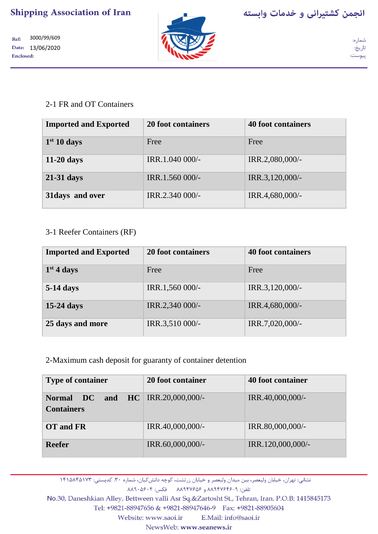3000/99/609

Date: 13/06/2020

Ref:

**Enclosed:** 



شما, ه: تاريخ:

پيوست:

# 2-1 FR and OT Containers

| <b>Imported and Exported</b> | 20 foot containers | <b>40 foot containers</b> |
|------------------------------|--------------------|---------------------------|
| 1 <sup>st</sup> 10 days      | Free               | Free                      |
| $11-20$ days                 | IRR.1.040 000/-    | IRR.2,080,000/-           |
| $21-31$ days                 | IRR.1.560 000/-    | IRR.3,120,000/-           |
| 31 days and over             | IRR.2.340 000/-    | IRR.4,680,000/-           |

## 3-1 Reefer Containers (RF)

| <b>Imported and Exported</b> | 20 foot containers | <b>40 foot containers</b> |
|------------------------------|--------------------|---------------------------|
| $1st$ 4 days                 | Free               | Free                      |
| 5-14 days                    | IRR.1,560 000/-    | IRR.3,120,000/-           |
| $15-24$ days                 | IRR.2,340 000/-    | IRR.4,680,000/-           |
| 25 days and more             | IRR.3,510 000/-    | IRR.7,020,000/-           |

## 2-Maximum cash deposit for guaranty of container detention

| <b>Type of container</b>                                               | 20 foot container | 40 foot container |
|------------------------------------------------------------------------|-------------------|-------------------|
| <b>DC</b> and HC RR.20,000,000/-<br><b>Normal</b><br><b>Containers</b> |                   | IRR.40,000,000/-  |
| OT and FR                                                              | IRR.40,000,000/-  | IRR.80,000,000/-  |
| <b>Reefer</b>                                                          | IRR.60,000,000/-  | IRR.120,000,000/- |

نشانی: تهران، خیابان ولیعصر، بین میدان ولیعصر و خیابان زرتشت، کوچه دانش کیان، شماره ۳۰. کدپستی: ۱۴۱۵۸۴۵۱۷۳

تلفن: ٨-٨٩٤٧۶۴۶ و ٨٨٩٤٧۶٥۶ فكس: ٨٨٩٠٥۶٠۴

No.30, Daneshkian Alley, Bettween valli Asr Sq.&Zartosht St., Tehran, Iran. P.O.B: 1415845173

Tel: +9821-88947656 & +9821-88947646-9 Fax: +9821-88905604

Website: www.saoi.ir E.Mail: info@saoi.ir